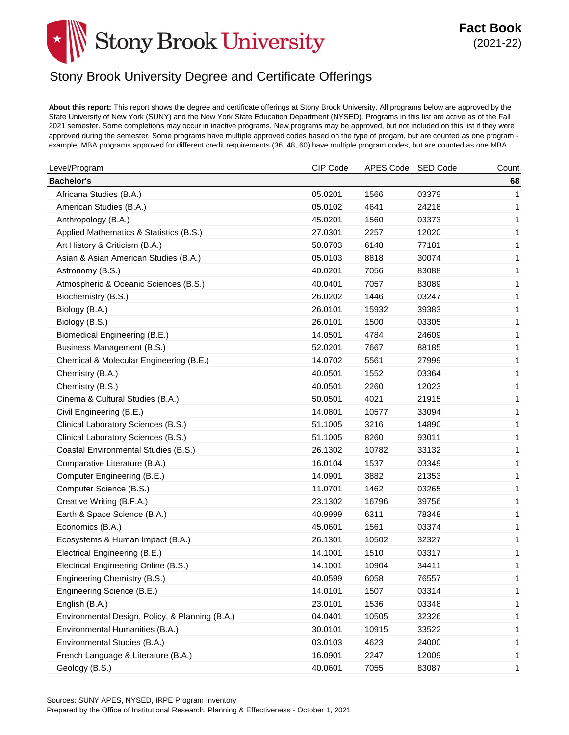

| Level/Program                                   | CIP Code | APES Code | SED Code | Count        |
|-------------------------------------------------|----------|-----------|----------|--------------|
| <b>Bachelor's</b>                               |          |           |          | 68           |
| Africana Studies (B.A.)                         | 05.0201  | 1566      | 03379    | $\mathbf{1}$ |
| American Studies (B.A.)                         | 05.0102  | 4641      | 24218    | $\mathbf 1$  |
| Anthropology (B.A.)                             | 45.0201  | 1560      | 03373    | $\mathbf{1}$ |
| Applied Mathematics & Statistics (B.S.)         | 27.0301  | 2257      | 12020    | $\mathbf{1}$ |
| Art History & Criticism (B.A.)                  | 50.0703  | 6148      | 77181    | $\mathbf 1$  |
| Asian & Asian American Studies (B.A.)           | 05.0103  | 8818      | 30074    | $\mathbf{1}$ |
| Astronomy (B.S.)                                | 40.0201  | 7056      | 83088    | $\mathbf{1}$ |
| Atmospheric & Oceanic Sciences (B.S.)           | 40.0401  | 7057      | 83089    | $\mathbf{1}$ |
| Biochemistry (B.S.)                             | 26.0202  | 1446      | 03247    | $\mathbf{1}$ |
| Biology (B.A.)                                  | 26.0101  | 15932     | 39383    | 1            |
| Biology (B.S.)                                  | 26.0101  | 1500      | 03305    | $\mathbf{1}$ |
| Biomedical Engineering (B.E.)                   | 14.0501  | 4784      | 24609    | $\mathbf{1}$ |
| Business Management (B.S.)                      | 52.0201  | 7667      | 88185    | $\mathbf{1}$ |
| Chemical & Molecular Engineering (B.E.)         | 14.0702  | 5561      | 27999    | $\mathbf{1}$ |
| Chemistry (B.A.)                                | 40.0501  | 1552      | 03364    | 1            |
| Chemistry (B.S.)                                | 40.0501  | 2260      | 12023    | $\mathbf{1}$ |
| Cinema & Cultural Studies (B.A.)                | 50.0501  | 4021      | 21915    | 1            |
| Civil Engineering (B.E.)                        | 14.0801  | 10577     | 33094    | $\mathbf{1}$ |
| Clinical Laboratory Sciences (B.S.)             | 51.1005  | 3216      | 14890    | $\mathbf{1}$ |
| Clinical Laboratory Sciences (B.S.)             | 51.1005  | 8260      | 93011    | 1            |
| Coastal Environmental Studies (B.S.)            | 26.1302  | 10782     | 33132    | $\mathbf{1}$ |
| Comparative Literature (B.A.)                   | 16.0104  | 1537      | 03349    | $\mathbf{1}$ |
| Computer Engineering (B.E.)                     | 14.0901  | 3882      | 21353    | $\mathbf 1$  |
| Computer Science (B.S.)                         | 11.0701  | 1462      | 03265    | $\mathbf{1}$ |
| Creative Writing (B.F.A.)                       | 23.1302  | 16796     | 39756    | $\mathbf{1}$ |
| Earth & Space Science (B.A.)                    | 40.9999  | 6311      | 78348    | $\mathbf{1}$ |
| Economics (B.A.)                                | 45.0601  | 1561      | 03374    | $\mathbf{1}$ |
| Ecosystems & Human Impact (B.A.)                | 26.1301  | 10502     | 32327    | $\mathbf{1}$ |
| Electrical Engineering (B.E.)                   | 14.1001  | 1510      | 03317    | $\mathbf{1}$ |
| Electrical Engineering Online (B.S.)            | 14.1001  | 10904     | 34411    | $\mathbf{1}$ |
| Engineering Chemistry (B.S.)                    | 40.0599  | 6058      | 76557    | 1            |
| Engineering Science (B.E.)                      | 14.0101  | 1507      | 03314    | 1            |
| English (B.A.)                                  | 23.0101  | 1536      | 03348    | 1            |
| Environmental Design, Policy, & Planning (B.A.) | 04.0401  | 10505     | 32326    | 1            |
| Environmental Humanities (B.A.)                 | 30.0101  | 10915     | 33522    | 1            |
| Environmental Studies (B.A.)                    | 03.0103  | 4623      | 24000    | 1            |
| French Language & Literature (B.A.)             | 16.0901  | 2247      | 12009    | 1            |
| Geology (B.S.)                                  | 40.0601  | 7055      | 83087    | 1            |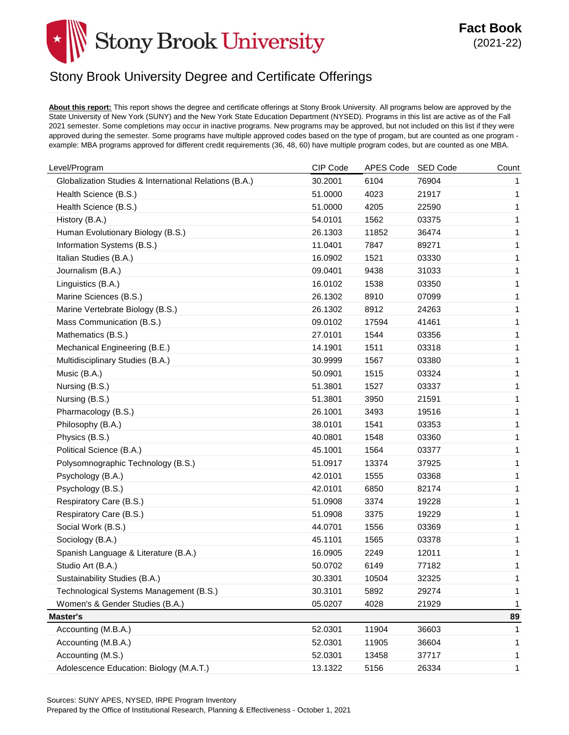

| Level/Program                                          | CIP Code | APES Code | SED Code | Count        |
|--------------------------------------------------------|----------|-----------|----------|--------------|
| Globalization Studies & International Relations (B.A.) | 30.2001  | 6104      | 76904    | 1            |
| Health Science (B.S.)                                  | 51.0000  | 4023      | 21917    | $\mathbf{1}$ |
| Health Science (B.S.)                                  | 51.0000  | 4205      | 22590    | $\mathbf 1$  |
| History (B.A.)                                         | 54.0101  | 1562      | 03375    | $\mathbf{1}$ |
| Human Evolutionary Biology (B.S.)                      | 26.1303  | 11852     | 36474    | $\mathbf 1$  |
| Information Systems (B.S.)                             | 11.0401  | 7847      | 89271    | 1.           |
| Italian Studies (B.A.)                                 | 16.0902  | 1521      | 03330    | $\mathbf 1$  |
| Journalism (B.A.)                                      | 09.0401  | 9438      | 31033    | $\mathbf{1}$ |
| Linguistics (B.A.)                                     | 16.0102  | 1538      | 03350    | $\mathbf{1}$ |
| Marine Sciences (B.S.)                                 | 26.1302  | 8910      | 07099    | $\mathbf 1$  |
| Marine Vertebrate Biology (B.S.)                       | 26.1302  | 8912      | 24263    | 1.           |
| Mass Communication (B.S.)                              | 09.0102  | 17594     | 41461    | $\mathbf{1}$ |
| Mathematics (B.S.)                                     | 27.0101  | 1544      | 03356    | $\mathbf{1}$ |
| Mechanical Engineering (B.E.)                          | 14.1901  | 1511      | 03318    | $\mathbf{1}$ |
| Multidisciplinary Studies (B.A.)                       | 30.9999  | 1567      | 03380    | $\mathbf 1$  |
| Music (B.A.)                                           | 50.0901  | 1515      | 03324    | $\mathbf{1}$ |
| Nursing (B.S.)                                         | 51.3801  | 1527      | 03337    | $\mathbf 1$  |
| Nursing (B.S.)                                         | 51.3801  | 3950      | 21591    | $\mathbf{1}$ |
| Pharmacology (B.S.)                                    | 26.1001  | 3493      | 19516    | 1            |
| Philosophy (B.A.)                                      | 38.0101  | 1541      | 03353    | $\mathbf 1$  |
| Physics (B.S.)                                         | 40.0801  | 1548      | 03360    | $\mathbf{1}$ |
| Political Science (B.A.)                               | 45.1001  | 1564      | 03377    | $\mathbf{1}$ |
| Polysomnographic Technology (B.S.)                     | 51.0917  | 13374     | 37925    | $\mathbf{1}$ |
| Psychology (B.A.)                                      | 42.0101  | 1555      | 03368    | 1            |
| Psychology (B.S.)                                      | 42.0101  | 6850      | 82174    | $\mathbf 1$  |
| Respiratory Care (B.S.)                                | 51.0908  | 3374      | 19228    | $\mathbf 1$  |
| Respiratory Care (B.S.)                                | 51.0908  | 3375      | 19229    | $\mathbf{1}$ |
| Social Work (B.S.)                                     | 44.0701  | 1556      | 03369    | $\mathbf{1}$ |
| Sociology (B.A.)                                       | 45.1101  | 1565      | 03378    | 1            |
| Spanish Language & Literature (B.A.)                   | 16.0905  | 2249      | 12011    | $\mathbf 1$  |
| Studio Art (B.A.)                                      | 50.0702  | 6149      | 77182    | 1            |
| Sustainability Studies (B.A.)                          | 30.3301  | 10504     | 32325    | 1            |
| Technological Systems Management (B.S.)                | 30.3101  | 5892      | 29274    | 1            |
| Women's & Gender Studies (B.A.)                        | 05.0207  | 4028      | 21929    | 1            |
| <b>Master's</b>                                        |          |           |          | 89           |
| Accounting (M.B.A.)                                    | 52.0301  | 11904     | 36603    | 1            |
| Accounting (M.B.A.)                                    | 52.0301  | 11905     | 36604    | 1            |
| Accounting (M.S.)                                      | 52.0301  | 13458     | 37717    | $\mathbf{1}$ |
| Adolescence Education: Biology (M.A.T.)                | 13.1322  | 5156      | 26334    | $\mathbf{1}$ |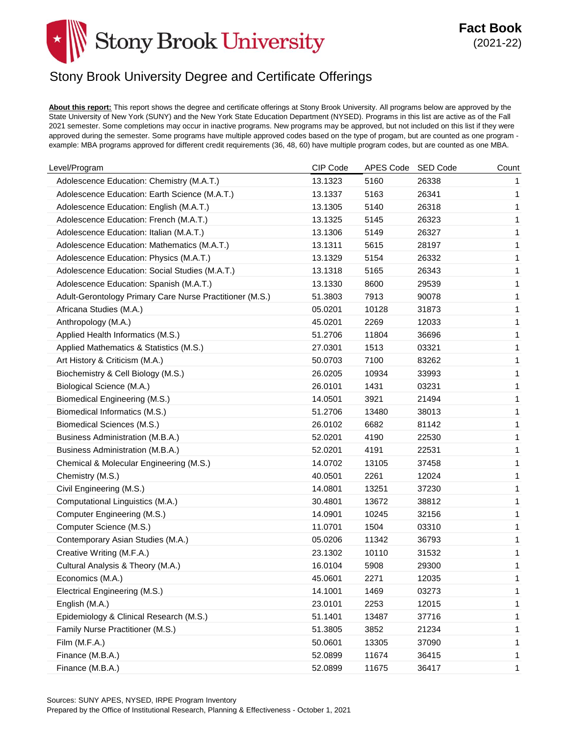

| Level/Program                                            | CIP Code | APES Code SED Code |       | Count        |
|----------------------------------------------------------|----------|--------------------|-------|--------------|
| Adolescence Education: Chemistry (M.A.T.)                | 13.1323  | 5160               | 26338 | 1            |
| Adolescence Education: Earth Science (M.A.T.)            | 13.1337  | 5163               | 26341 | $\mathbf{1}$ |
| Adolescence Education: English (M.A.T.)                  | 13.1305  | 5140               | 26318 | $\mathbf{1}$ |
| Adolescence Education: French (M.A.T.)                   | 13.1325  | 5145               | 26323 | $\mathbf{1}$ |
| Adolescence Education: Italian (M.A.T.)                  | 13.1306  | 5149               | 26327 | $\mathbf 1$  |
| Adolescence Education: Mathematics (M.A.T.)              | 13.1311  | 5615               | 28197 | $\mathbf 1$  |
| Adolescence Education: Physics (M.A.T.)                  | 13.1329  | 5154               | 26332 | $\mathbf{1}$ |
| Adolescence Education: Social Studies (M.A.T.)           | 13.1318  | 5165               | 26343 | $\mathbf{1}$ |
| Adolescence Education: Spanish (M.A.T.)                  | 13.1330  | 8600               | 29539 | $\mathbf{1}$ |
| Adult-Gerontology Primary Care Nurse Practitioner (M.S.) | 51.3803  | 7913               | 90078 | $\mathbf{1}$ |
| Africana Studies (M.A.)                                  | 05.0201  | 10128              | 31873 | $\mathbf{1}$ |
| Anthropology (M.A.)                                      | 45.0201  | 2269               | 12033 | $\mathbf{1}$ |
| Applied Health Informatics (M.S.)                        | 51.2706  | 11804              | 36696 | $\mathbf{1}$ |
| Applied Mathematics & Statistics (M.S.)                  | 27.0301  | 1513               | 03321 | $\mathbf{1}$ |
| Art History & Criticism (M.A.)                           | 50.0703  | 7100               | 83262 | $\mathbf 1$  |
| Biochemistry & Cell Biology (M.S.)                       | 26.0205  | 10934              | 33993 | $\mathbf{1}$ |
| Biological Science (M.A.)                                | 26.0101  | 1431               | 03231 | $\mathbf{1}$ |
| Biomedical Engineering (M.S.)                            | 14.0501  | 3921               | 21494 | $\mathbf{1}$ |
| Biomedical Informatics (M.S.)                            | 51.2706  | 13480              | 38013 | $\mathbf{1}$ |
| Biomedical Sciences (M.S.)                               | 26.0102  | 6682               | 81142 | $\mathbf 1$  |
| Business Administration (M.B.A.)                         | 52.0201  | 4190               | 22530 | $\mathbf{1}$ |
| <b>Business Administration (M.B.A.)</b>                  | 52.0201  | 4191               | 22531 | $\mathbf{1}$ |
| Chemical & Molecular Engineering (M.S.)                  | 14.0702  | 13105              | 37458 | $\mathbf{1}$ |
| Chemistry (M.S.)                                         | 40.0501  | 2261               | 12024 | 1            |
| Civil Engineering (M.S.)                                 | 14.0801  | 13251              | 37230 | $\mathbf 1$  |
| Computational Linguistics (M.A.)                         | 30.4801  | 13672              | 38812 | $\mathbf{1}$ |
| Computer Engineering (M.S.)                              | 14.0901  | 10245              | 32156 | $\mathbf 1$  |
| Computer Science (M.S.)                                  | 11.0701  | 1504               | 03310 | $\mathbf{1}$ |
| Contemporary Asian Studies (M.A.)                        | 05.0206  | 11342              | 36793 | 1            |
| Creative Writing (M.F.A.)                                | 23.1302  | 10110              | 31532 | $\mathbf{1}$ |
| Cultural Analysis & Theory (M.A.)                        | 16.0104  | 5908               | 29300 | 1            |
| Economics (M.A.)                                         | 45.0601  | 2271               | 12035 | 1            |
| Electrical Engineering (M.S.)                            | 14.1001  | 1469               | 03273 | 1            |
| English (M.A.)                                           | 23.0101  | 2253               | 12015 | 1            |
| Epidemiology & Clinical Research (M.S.)                  | 51.1401  | 13487              | 37716 | $\mathbf{1}$ |
| Family Nurse Practitioner (M.S.)                         | 51.3805  | 3852               | 21234 | 1            |
| Film (M.F.A.)                                            | 50.0601  | 13305              | 37090 | 1            |
| Finance (M.B.A.)                                         | 52.0899  | 11674              | 36415 | 1            |
| Finance (M.B.A.)                                         | 52.0899  | 11675              | 36417 | 1            |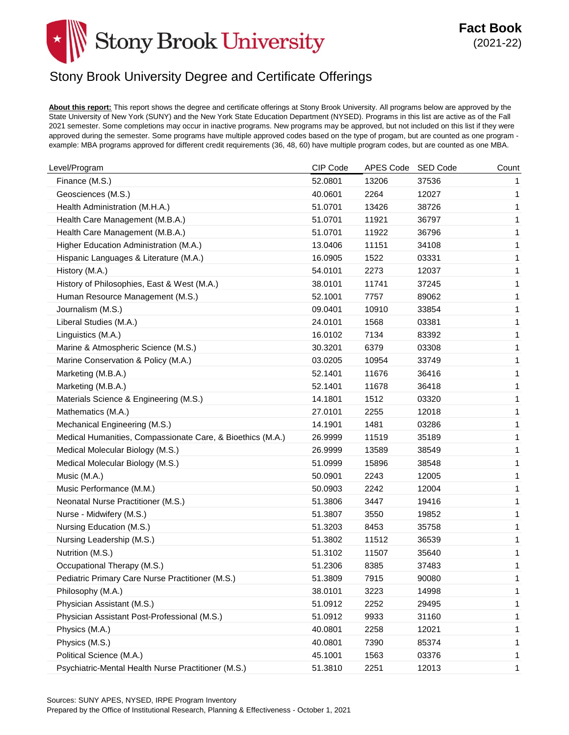

| Level/Program                                              | CIP Code | APES Code | SED Code | Count        |
|------------------------------------------------------------|----------|-----------|----------|--------------|
| Finance (M.S.)                                             | 52.0801  | 13206     | 37536    | 1            |
| Geosciences (M.S.)                                         | 40.0601  | 2264      | 12027    | $\mathbf 1$  |
| Health Administration (M.H.A.)                             | 51.0701  | 13426     | 38726    | $\mathbf{1}$ |
| Health Care Management (M.B.A.)                            | 51.0701  | 11921     | 36797    | 1            |
| Health Care Management (M.B.A.)                            | 51.0701  | 11922     | 36796    | $\mathbf{1}$ |
| Higher Education Administration (M.A.)                     | 13.0406  | 11151     | 34108    | 1            |
| Hispanic Languages & Literature (M.A.)                     | 16.0905  | 1522      | 03331    | $\mathbf 1$  |
| History (M.A.)                                             | 54.0101  | 2273      | 12037    | $\mathbf{1}$ |
| History of Philosophies, East & West (M.A.)                | 38.0101  | 11741     | 37245    | 1            |
| Human Resource Management (M.S.)                           | 52.1001  | 7757      | 89062    | $\mathbf{1}$ |
| Journalism (M.S.)                                          | 09.0401  | 10910     | 33854    | $\mathbf{1}$ |
| Liberal Studies (M.A.)                                     | 24.0101  | 1568      | 03381    | $\mathbf 1$  |
| Linguistics (M.A.)                                         | 16.0102  | 7134      | 83392    | $\mathbf{1}$ |
| Marine & Atmospheric Science (M.S.)                        | 30.3201  | 6379      | 03308    | 1            |
| Marine Conservation & Policy (M.A.)                        | 03.0205  | 10954     | 33749    | $\mathbf{1}$ |
| Marketing (M.B.A.)                                         | 52.1401  | 11676     | 36416    | $\mathbf{1}$ |
| Marketing (M.B.A.)                                         | 52.1401  | 11678     | 36418    | $\mathbf 1$  |
| Materials Science & Engineering (M.S.)                     | 14.1801  | 1512      | 03320    | $\mathbf{1}$ |
| Mathematics (M.A.)                                         | 27.0101  | 2255      | 12018    | $\mathbf 1$  |
| Mechanical Engineering (M.S.)                              | 14.1901  | 1481      | 03286    | $\mathbf{1}$ |
| Medical Humanities, Compassionate Care, & Bioethics (M.A.) | 26.9999  | 11519     | 35189    | $\mathbf{1}$ |
| Medical Molecular Biology (M.S.)                           | 26.9999  | 13589     | 38549    | $\mathbf{1}$ |
| Medical Molecular Biology (M.S.)                           | 51.0999  | 15896     | 38548    | $\mathbf{1}$ |
| Music (M.A.)                                               | 50.0901  | 2243      | 12005    | 1            |
| Music Performance (M.M.)                                   | 50.0903  | 2242      | 12004    | $\mathbf{1}$ |
| Neonatal Nurse Practitioner (M.S.)                         | 51.3806  | 3447      | 19416    | $\mathbf{1}$ |
| Nurse - Midwifery (M.S.)                                   | 51.3807  | 3550      | 19852    | $\mathbf 1$  |
| Nursing Education (M.S.)                                   | 51.3203  | 8453      | 35758    | $\mathbf{1}$ |
| Nursing Leadership (M.S.)                                  | 51.3802  | 11512     | 36539    | 1            |
| Nutrition (M.S.)                                           | 51.3102  | 11507     | 35640    | $\mathbf{1}$ |
| Occupational Therapy (M.S.)                                | 51.2306  | 8385      | 37483    | 1            |
| Pediatric Primary Care Nurse Practitioner (M.S.)           | 51.3809  | 7915      | 90080    | 1            |
| Philosophy (M.A.)                                          | 38.0101  | 3223      | 14998    | 1            |
| Physician Assistant (M.S.)                                 | 51.0912  | 2252      | 29495    | 1            |
| Physician Assistant Post-Professional (M.S.)               | 51.0912  | 9933      | 31160    | 1            |
| Physics (M.A.)                                             | 40.0801  | 2258      | 12021    | 1            |
| Physics (M.S.)                                             | 40.0801  | 7390      | 85374    | 1            |
| Political Science (M.A.)                                   | 45.1001  | 1563      | 03376    | 1            |
| Psychiatric-Mental Health Nurse Practitioner (M.S.)        | 51.3810  | 2251      | 12013    | 1            |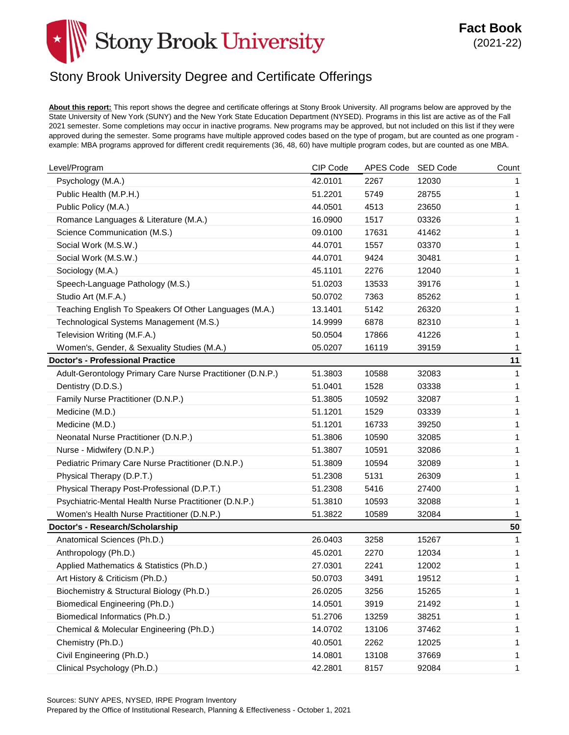

| Level/Program                                              | CIP Code | <b>APES Code</b> | SED Code | Count        |
|------------------------------------------------------------|----------|------------------|----------|--------------|
| Psychology (M.A.)                                          | 42.0101  | 2267             | 12030    | 1            |
| Public Health (M.P.H.)                                     | 51.2201  | 5749             | 28755    | $\mathbf{1}$ |
| Public Policy (M.A.)                                       | 44.0501  | 4513             | 23650    | $\mathbf{1}$ |
| Romance Languages & Literature (M.A.)                      | 16.0900  | 1517             | 03326    | 1            |
| Science Communication (M.S.)                               | 09.0100  | 17631            | 41462    | $\mathbf 1$  |
| Social Work (M.S.W.)                                       | 44.0701  | 1557             | 03370    | 1            |
| Social Work (M.S.W.)                                       | 44.0701  | 9424             | 30481    | $\mathbf 1$  |
| Sociology (M.A.)                                           | 45.1101  | 2276             | 12040    | $\mathbf{1}$ |
| Speech-Language Pathology (M.S.)                           | 51.0203  | 13533            | 39176    | 1            |
| Studio Art (M.F.A.)                                        | 50.0702  | 7363             | 85262    | 1            |
| Teaching English To Speakers Of Other Languages (M.A.)     | 13.1401  | 5142             | 26320    | 1.           |
| Technological Systems Management (M.S.)                    | 14.9999  | 6878             | 82310    | 1            |
| Television Writing (M.F.A.)                                | 50.0504  | 17866            | 41226    | 1            |
| Women's, Gender, & Sexuality Studies (M.A.)                | 05.0207  | 16119            | 39159    | 1            |
| <b>Doctor's - Professional Practice</b>                    |          |                  |          | 11           |
| Adult-Gerontology Primary Care Nurse Practitioner (D.N.P.) | 51.3803  | 10588            | 32083    | 1            |
| Dentistry (D.D.S.)                                         | 51.0401  | 1528             | 03338    | 1            |
| Family Nurse Practitioner (D.N.P.)                         | 51.3805  | 10592            | 32087    | $\mathbf{1}$ |
| Medicine (M.D.)                                            | 51.1201  | 1529             | 03339    | 1            |
| Medicine (M.D.)                                            | 51.1201  | 16733            | 39250    | $\mathbf 1$  |
| Neonatal Nurse Practitioner (D.N.P.)                       | 51.3806  | 10590            | 32085    | $\mathbf{1}$ |
| Nurse - Midwifery (D.N.P.)                                 | 51.3807  | 10591            | 32086    | 1.           |
| Pediatric Primary Care Nurse Practitioner (D.N.P.)         | 51.3809  | 10594            | 32089    | $\mathbf{1}$ |
| Physical Therapy (D.P.T.)                                  | 51.2308  | 5131             | 26309    | 1            |
| Physical Therapy Post-Professional (D.P.T.)                | 51.2308  | 5416             | 27400    | $\mathbf{1}$ |
| Psychiatric-Mental Health Nurse Practitioner (D.N.P.)      | 51.3810  | 10593            | 32088    | $\mathbf{1}$ |
| Women's Health Nurse Practitioner (D.N.P.)                 | 51.3822  | 10589            | 32084    | 1            |
| Doctor's - Research/Scholarship                            |          |                  |          | 50           |
| Anatomical Sciences (Ph.D.)                                | 26.0403  | 3258             | 15267    | 1            |
| Anthropology (Ph.D.)                                       | 45.0201  | 2270             | 12034    | 1            |
| Applied Mathematics & Statistics (Ph.D.)                   | 27.0301  | 2241             | 12002    | 1            |
| Art History & Criticism (Ph.D.)                            | 50.0703  | 3491             | 19512    | 1            |
| Biochemistry & Structural Biology (Ph.D.)                  | 26.0205  | 3256             | 15265    | 1            |
| Biomedical Engineering (Ph.D.)                             | 14.0501  | 3919             | 21492    | 1            |
| Biomedical Informatics (Ph.D.)                             | 51.2706  | 13259            | 38251    | 1            |
| Chemical & Molecular Engineering (Ph.D.)                   | 14.0702  | 13106            | 37462    | 1            |
| Chemistry (Ph.D.)                                          | 40.0501  | 2262             | 12025    | 1            |
| Civil Engineering (Ph.D.)                                  | 14.0801  | 13108            | 37669    | 1            |
| Clinical Psychology (Ph.D.)                                | 42.2801  | 8157             | 92084    | 1            |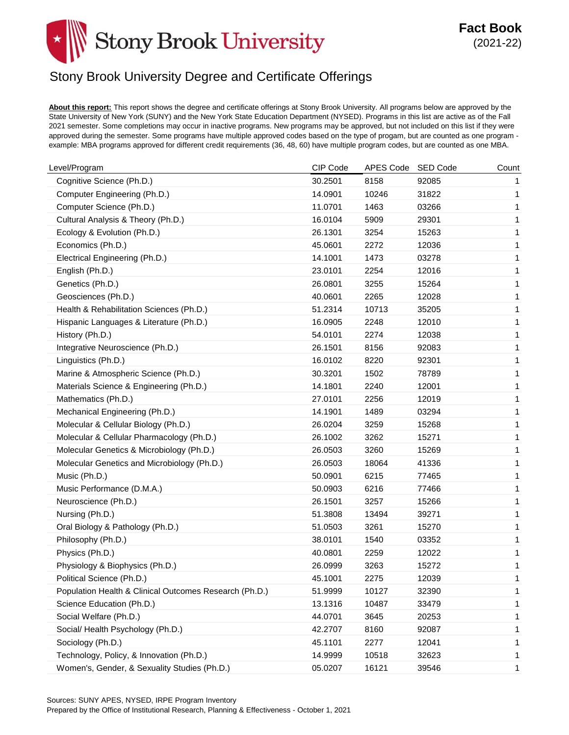

| Level/Program                                          | CIP Code | APES Code SED Code |       | Count        |
|--------------------------------------------------------|----------|--------------------|-------|--------------|
| Cognitive Science (Ph.D.)                              | 30.2501  | 8158               | 92085 | 1.           |
| Computer Engineering (Ph.D.)                           | 14.0901  | 10246              | 31822 | $\mathbf{1}$ |
| Computer Science (Ph.D.)                               | 11.0701  | 1463               | 03266 | $\mathbf{1}$ |
| Cultural Analysis & Theory (Ph.D.)                     | 16.0104  | 5909               | 29301 | $\mathbf{1}$ |
| Ecology & Evolution (Ph.D.)                            | 26.1301  | 3254               | 15263 | $\mathbf{1}$ |
| Economics (Ph.D.)                                      | 45.0601  | 2272               | 12036 | 1            |
| Electrical Engineering (Ph.D.)                         | 14.1001  | 1473               | 03278 | $\mathbf{1}$ |
| English (Ph.D.)                                        | 23.0101  | 2254               | 12016 | $\mathbf{1}$ |
| Genetics (Ph.D.)                                       | 26.0801  | 3255               | 15264 | $\mathbf{1}$ |
| Geosciences (Ph.D.)                                    | 40.0601  | 2265               | 12028 | $\mathbf{1}$ |
| Health & Rehabilitation Sciences (Ph.D.)               | 51.2314  | 10713              | 35205 | $\mathbf 1$  |
| Hispanic Languages & Literature (Ph.D.)                | 16.0905  | 2248               | 12010 | $\mathbf{1}$ |
| History (Ph.D.)                                        | 54.0101  | 2274               | 12038 | $\mathbf{1}$ |
| Integrative Neuroscience (Ph.D.)                       | 26.1501  | 8156               | 92083 | $\mathbf{1}$ |
| Linguistics (Ph.D.)                                    | 16.0102  | 8220               | 92301 | $\mathbf{1}$ |
| Marine & Atmospheric Science (Ph.D.)                   | 30.3201  | 1502               | 78789 | $\mathbf{1}$ |
| Materials Science & Engineering (Ph.D.)                | 14.1801  | 2240               | 12001 | $\mathbf{1}$ |
| Mathematics (Ph.D.)                                    | 27.0101  | 2256               | 12019 | $\mathbf{1}$ |
| Mechanical Engineering (Ph.D.)                         | 14.1901  | 1489               | 03294 | $\mathbf{1}$ |
| Molecular & Cellular Biology (Ph.D.)                   | 26.0204  | 3259               | 15268 | $\mathbf{1}$ |
| Molecular & Cellular Pharmacology (Ph.D.)              | 26.1002  | 3262               | 15271 | $\mathbf{1}$ |
| Molecular Genetics & Microbiology (Ph.D.)              | 26.0503  | 3260               | 15269 | $\mathbf{1}$ |
| Molecular Genetics and Microbiology (Ph.D.)            | 26.0503  | 18064              | 41336 | $\mathbf{1}$ |
| Music (Ph.D.)                                          | 50.0901  | 6215               | 77465 | $\mathbf{1}$ |
| Music Performance (D.M.A.)                             | 50.0903  | 6216               | 77466 | $\mathbf{1}$ |
| Neuroscience (Ph.D.)                                   | 26.1501  | 3257               | 15266 | $\mathbf{1}$ |
| Nursing (Ph.D.)                                        | 51.3808  | 13494              | 39271 | $\mathbf{1}$ |
| Oral Biology & Pathology (Ph.D.)                       | 51.0503  | 3261               | 15270 | $\mathbf{1}$ |
| Philosophy (Ph.D.)                                     | 38.0101  | 1540               | 03352 | $\mathbf{1}$ |
| Physics (Ph.D.)                                        | 40.0801  | 2259               | 12022 | $\mathbf{1}$ |
| Physiology & Biophysics (Ph.D.)                        | 26.0999  | 3263               | 15272 | 1            |
| Political Science (Ph.D.)                              | 45.1001  | 2275               | 12039 | 1            |
| Population Health & Clinical Outcomes Research (Ph.D.) | 51.9999  | 10127              | 32390 | 1            |
| Science Education (Ph.D.)                              | 13.1316  | 10487              | 33479 | 1            |
| Social Welfare (Ph.D.)                                 | 44.0701  | 3645               | 20253 | 1            |
| Social/ Health Psychology (Ph.D.)                      | 42.2707  | 8160               | 92087 | 1            |
| Sociology (Ph.D.)                                      | 45.1101  | 2277               | 12041 | 1            |
| Technology, Policy, & Innovation (Ph.D.)               | 14.9999  | 10518              | 32623 | 1            |
| Women's, Gender, & Sexuality Studies (Ph.D.)           | 05.0207  | 16121              | 39546 | 1            |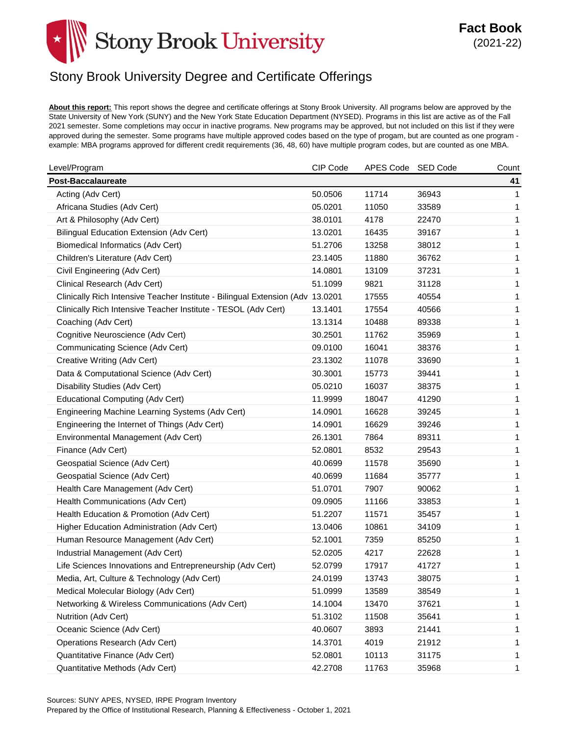

| Level/Program                                                                  | CIP Code | APES Code SED Code |       | Count        |
|--------------------------------------------------------------------------------|----------|--------------------|-------|--------------|
| <b>Post-Baccalaureate</b>                                                      |          |                    |       | 41           |
| Acting (Adv Cert)                                                              | 50.0506  | 11714              | 36943 | 1            |
| Africana Studies (Adv Cert)                                                    | 05.0201  | 11050              | 33589 | 1            |
| Art & Philosophy (Adv Cert)                                                    | 38.0101  | 4178               | 22470 | $\mathbf{1}$ |
| <b>Bilingual Education Extension (Adv Cert)</b>                                | 13.0201  | 16435              | 39167 | 1            |
| <b>Biomedical Informatics (Adv Cert)</b>                                       | 51.2706  | 13258              | 38012 | 1            |
| Children's Literature (Adv Cert)                                               | 23.1405  | 11880              | 36762 | 1            |
| Civil Engineering (Adv Cert)                                                   | 14.0801  | 13109              | 37231 | 1            |
| Clinical Research (Adv Cert)                                                   | 51.1099  | 9821               | 31128 | 1            |
| Clinically Rich Intensive Teacher Institute - Bilingual Extension (Adv 13.0201 |          | 17555              | 40554 | 1            |
| Clinically Rich Intensive Teacher Institute - TESOL (Adv Cert)                 | 13.1401  | 17554              | 40566 | 1            |
| Coaching (Adv Cert)                                                            | 13.1314  | 10488              | 89338 | 1            |
| Cognitive Neuroscience (Adv Cert)                                              | 30.2501  | 11762              | 35969 | 1            |
| Communicating Science (Adv Cert)                                               | 09.0100  | 16041              | 38376 | 1            |
| Creative Writing (Adv Cert)                                                    | 23.1302  | 11078              | 33690 | 1            |
| Data & Computational Science (Adv Cert)                                        | 30.3001  | 15773              | 39441 | 1            |
| Disability Studies (Adv Cert)                                                  | 05.0210  | 16037              | 38375 | 1            |
| <b>Educational Computing (Adv Cert)</b>                                        | 11.9999  | 18047              | 41290 | 1            |
| Engineering Machine Learning Systems (Adv Cert)                                | 14.0901  | 16628              | 39245 | 1            |
| Engineering the Internet of Things (Adv Cert)                                  | 14.0901  | 16629              | 39246 | 1            |
| Environmental Management (Adv Cert)                                            | 26.1301  | 7864               | 89311 | 1            |
| Finance (Adv Cert)                                                             | 52.0801  | 8532               | 29543 | 1            |
| Geospatial Science (Adv Cert)                                                  | 40.0699  | 11578              | 35690 | 1            |
| Geospatial Science (Adv Cert)                                                  | 40.0699  | 11684              | 35777 | 1            |
| Health Care Management (Adv Cert)                                              | 51.0701  | 7907               | 90062 | 1            |
| Health Communications (Adv Cert)                                               | 09.0905  | 11166              | 33853 | 1            |
| Health Education & Promotion (Adv Cert)                                        | 51.2207  | 11571              | 35457 | 1            |
| Higher Education Administration (Adv Cert)                                     | 13.0406  | 10861              | 34109 | 1            |
| Human Resource Management (Adv Cert)                                           | 52.1001  | 7359               | 85250 | 1            |
| Industrial Management (Adv Cert)                                               | 52.0205  | 4217               | 22628 | 1            |
| Life Sciences Innovations and Entrepreneurship (Adv Cert)                      | 52.0799  | 17917              | 41727 | 1            |
| Media, Art, Culture & Technology (Adv Cert)                                    | 24.0199  | 13743              | 38075 | 1            |
| Medical Molecular Biology (Adv Cert)                                           | 51.0999  | 13589              | 38549 | 1            |
| Networking & Wireless Communications (Adv Cert)                                | 14.1004  | 13470              | 37621 | 1.           |
| Nutrition (Adv Cert)                                                           | 51.3102  | 11508              | 35641 | 1            |
| Oceanic Science (Adv Cert)                                                     | 40.0607  | 3893               | 21441 | 1            |
| Operations Research (Adv Cert)                                                 | 14.3701  | 4019               | 21912 | 1.           |
| Quantitative Finance (Adv Cert)                                                | 52.0801  | 10113              | 31175 | 1            |
| Quantitative Methods (Adv Cert)                                                | 42.2708  | 11763              | 35968 | 1            |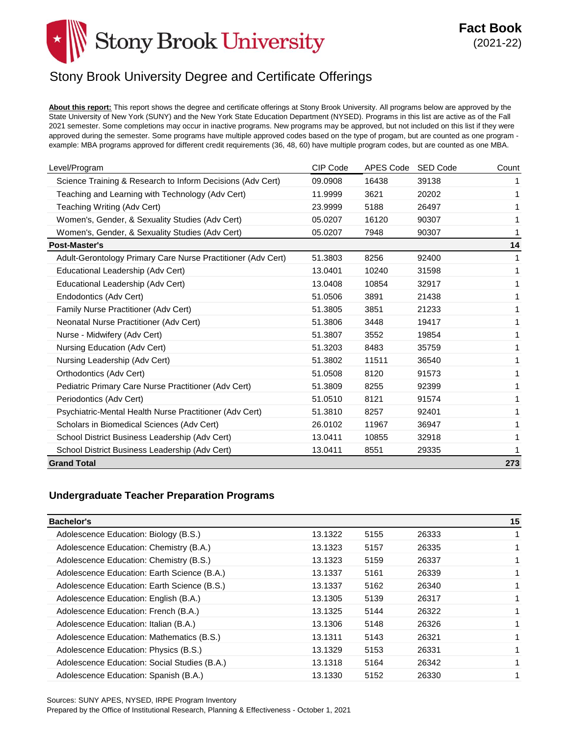

**About this report:** This report shows the degree and certificate offerings at Stony Brook University. All programs below are approved by the State University of New York (SUNY) and the New York State Education Department (NYSED). Programs in this list are active as of the Fall 2021 semester. Some completions may occur in inactive programs. New programs may be approved, but not included on this list if they were approved during the semester. Some programs have multiple approved codes based on the type of progam, but are counted as one program example: MBA programs approved for different credit requirements (36, 48, 60) have multiple program codes, but are counted as one MBA.

| Level/Program                                                | CIP Code | APES Code SED Code |       | Count        |
|--------------------------------------------------------------|----------|--------------------|-------|--------------|
| Science Training & Research to Inform Decisions (Adv Cert)   | 09.0908  | 16438              | 39138 | 1.           |
| Teaching and Learning with Technology (Adv Cert)             | 11.9999  | 3621               | 20202 | 1            |
| Teaching Writing (Adv Cert)                                  | 23.9999  | 5188               | 26497 | 1            |
| Women's, Gender, & Sexuality Studies (Adv Cert)              | 05.0207  | 16120              | 90307 | 1            |
| Women's, Gender, & Sexuality Studies (Adv Cert)              | 05.0207  | 7948               | 90307 | 1            |
| <b>Post-Master's</b>                                         |          |                    |       | 14           |
| Adult-Gerontology Primary Care Nurse Practitioner (Adv Cert) | 51.3803  | 8256               | 92400 | $\mathbf{1}$ |
| Educational Leadership (Adv Cert)                            | 13.0401  | 10240              | 31598 | 1            |
| Educational Leadership (Adv Cert)                            | 13.0408  | 10854              | 32917 | 1            |
| Endodontics (Adv Cert)                                       | 51.0506  | 3891               | 21438 | 1            |
| Family Nurse Practitioner (Adv Cert)                         | 51.3805  | 3851               | 21233 | 1            |
| Neonatal Nurse Practitioner (Adv Cert)                       | 51.3806  | 3448               | 19417 | 1            |
| Nurse - Midwifery (Adv Cert)                                 | 51.3807  | 3552               | 19854 | 1            |
| Nursing Education (Adv Cert)                                 | 51.3203  | 8483               | 35759 | 1            |
| Nursing Leadership (Adv Cert)                                | 51.3802  | 11511              | 36540 | 1            |
| Orthodontics (Adv Cert)                                      | 51.0508  | 8120               | 91573 | $\mathbf{1}$ |
| Pediatric Primary Care Nurse Practitioner (Adv Cert)         | 51.3809  | 8255               | 92399 | 1            |
| Periodontics (Adv Cert)                                      | 51.0510  | 8121               | 91574 | 1            |
| Psychiatric-Mental Health Nurse Practitioner (Adv Cert)      | 51.3810  | 8257               | 92401 | 1            |
| Scholars in Biomedical Sciences (Adv Cert)                   | 26.0102  | 11967              | 36947 | 1            |
| School District Business Leadership (Adv Cert)               | 13.0411  | 10855              | 32918 | 1            |
| School District Business Leadership (Adv Cert)               | 13.0411  | 8551               | 29335 | 1            |
| <b>Grand Total</b>                                           |          |                    |       | 273          |

### **Undergraduate Teacher Preparation Programs**

| <b>Bachelor's</b>                            |         |      |       | 15 |
|----------------------------------------------|---------|------|-------|----|
| Adolescence Education: Biology (B.S.)        | 13.1322 | 5155 | 26333 |    |
| Adolescence Education: Chemistry (B.A.)      | 13.1323 | 5157 | 26335 | 1  |
| Adolescence Education: Chemistry (B.S.)      | 13.1323 | 5159 | 26337 | 1. |
| Adolescence Education: Earth Science (B.A.)  | 13.1337 | 5161 | 26339 | 1  |
| Adolescence Education: Earth Science (B.S.)  | 13.1337 | 5162 | 26340 | 1  |
| Adolescence Education: English (B.A.)        | 13.1305 | 5139 | 26317 | 1  |
| Adolescence Education: French (B.A.)         | 13.1325 | 5144 | 26322 | 1  |
| Adolescence Education: Italian (B.A.)        | 13.1306 | 5148 | 26326 | 1  |
| Adolescence Education: Mathematics (B.S.)    | 13.1311 | 5143 | 26321 | 1  |
| Adolescence Education: Physics (B.S.)        | 13.1329 | 5153 | 26331 | 1  |
| Adolescence Education: Social Studies (B.A.) | 13.1318 | 5164 | 26342 | 1. |
| Adolescence Education: Spanish (B.A.)        | 13.1330 | 5152 | 26330 | 1  |

Sources: SUNY APES, NYSED, IRPE Program Inventory Prepared by the Office of Institutional Research, Planning & Effectiveness - October 1, 2021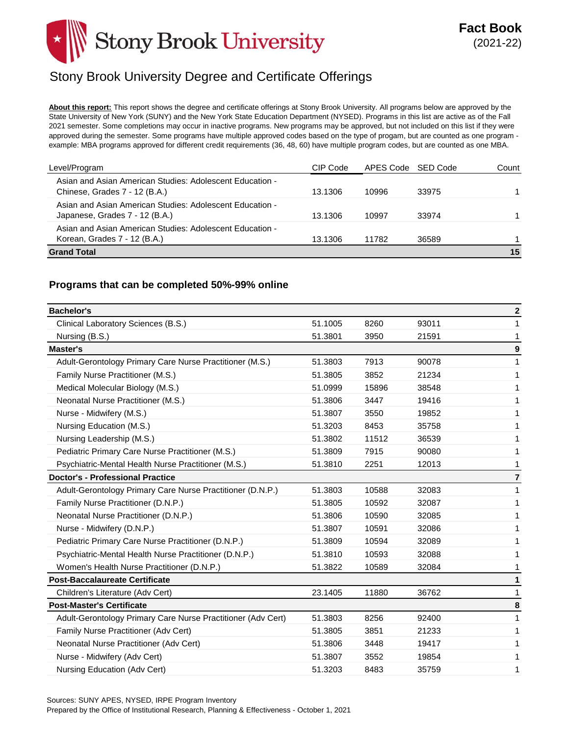

**About this report:** This report shows the degree and certificate offerings at Stony Brook University. All programs below are approved by the State University of New York (SUNY) and the New York State Education Department (NYSED). Programs in this list are active as of the Fall 2021 semester. Some completions may occur in inactive programs. New programs may be approved, but not included on this list if they were approved during the semester. Some programs have multiple approved codes based on the type of progam, but are counted as one program example: MBA programs approved for different credit requirements (36, 48, 60) have multiple program codes, but are counted as one MBA.

| Level/Program                                                                              | CIP Code | APES Code SED Code |       | Count |
|--------------------------------------------------------------------------------------------|----------|--------------------|-------|-------|
| Asian and Asian American Studies: Adolescent Education -<br>Chinese, Grades 7 - 12 (B.A.)  | 13.1306  | 10996              | 33975 |       |
| Asian and Asian American Studies: Adolescent Education -<br>Japanese, Grades 7 - 12 (B.A.) | 13.1306  | 10997              | 33974 |       |
| Asian and Asian American Studies: Adolescent Education -<br>Korean, Grades 7 - 12 (B.A.)   | 13.1306  | 11782              | 36589 |       |
| <b>Grand Total</b>                                                                         |          |                    |       | 15    |

#### **Programs that can be completed 50%-99% online**

| <b>Bachelor's</b>                                            |         |       |       | $\mathbf{2}$     |
|--------------------------------------------------------------|---------|-------|-------|------------------|
| Clinical Laboratory Sciences (B.S.)                          | 51.1005 | 8260  | 93011 | $\mathbf{1}$     |
| Nursing (B.S.)                                               | 51.3801 | 3950  | 21591 | 1                |
| <b>Master's</b>                                              |         |       |       | $\boldsymbol{9}$ |
| Adult-Gerontology Primary Care Nurse Practitioner (M.S.)     | 51.3803 | 7913  | 90078 | 1                |
| Family Nurse Practitioner (M.S.)                             | 51.3805 | 3852  | 21234 | 1                |
| Medical Molecular Biology (M.S.)                             | 51.0999 | 15896 | 38548 | 1                |
| Neonatal Nurse Practitioner (M.S.)                           | 51.3806 | 3447  | 19416 | 1                |
| Nurse - Midwifery (M.S.)                                     | 51.3807 | 3550  | 19852 | 1                |
| Nursing Education (M.S.)                                     | 51.3203 | 8453  | 35758 | 1                |
| Nursing Leadership (M.S.)                                    | 51.3802 | 11512 | 36539 | 1                |
| Pediatric Primary Care Nurse Practitioner (M.S.)             | 51.3809 | 7915  | 90080 | 1                |
| Psychiatric-Mental Health Nurse Practitioner (M.S.)          | 51.3810 | 2251  | 12013 | 1                |
| <b>Doctor's - Professional Practice</b>                      |         |       |       | 7                |
| Adult-Gerontology Primary Care Nurse Practitioner (D.N.P.)   | 51.3803 | 10588 | 32083 | $\mathbf{1}$     |
| Family Nurse Practitioner (D.N.P.)                           | 51.3805 | 10592 | 32087 | 1                |
| Neonatal Nurse Practitioner (D.N.P.)                         | 51.3806 | 10590 | 32085 | 1                |
| Nurse - Midwifery (D.N.P.)                                   | 51.3807 | 10591 | 32086 | 1                |
| Pediatric Primary Care Nurse Practitioner (D.N.P.)           | 51.3809 | 10594 | 32089 | 1                |
| Psychiatric-Mental Health Nurse Practitioner (D.N.P.)        | 51.3810 | 10593 | 32088 | 1                |
| Women's Health Nurse Practitioner (D.N.P.)                   | 51.3822 | 10589 | 32084 | 1                |
| <b>Post-Baccalaureate Certificate</b>                        |         |       |       | 1                |
| Children's Literature (Adv Cert)                             | 23.1405 | 11880 | 36762 | $\mathbf{1}$     |
| <b>Post-Master's Certificate</b>                             |         |       |       | 8                |
| Adult-Gerontology Primary Care Nurse Practitioner (Adv Cert) | 51.3803 | 8256  | 92400 | $\mathbf{1}$     |
| Family Nurse Practitioner (Adv Cert)                         | 51.3805 | 3851  | 21233 | 1                |
| Neonatal Nurse Practitioner (Adv Cert)                       | 51.3806 | 3448  | 19417 | 1                |
| Nurse - Midwifery (Adv Cert)                                 | 51.3807 | 3552  | 19854 | 1                |
| Nursing Education (Adv Cert)                                 | 51.3203 | 8483  | 35759 | 1                |